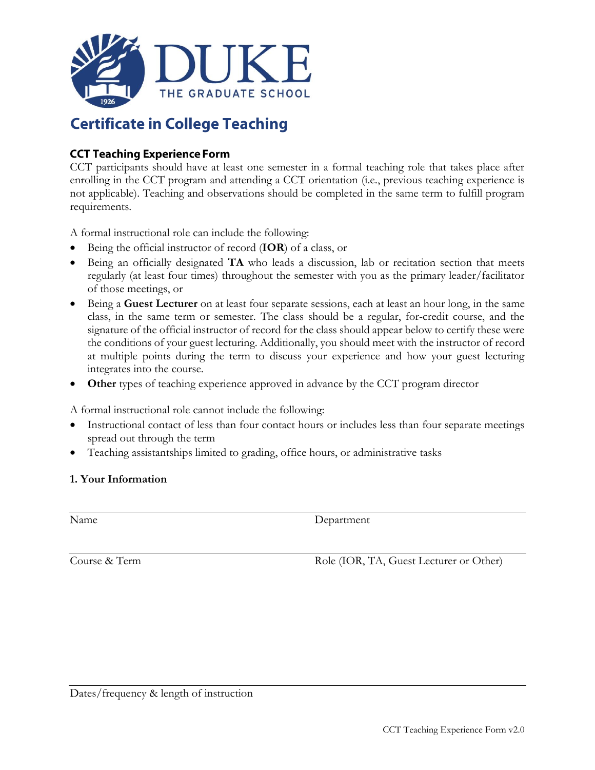

## **Certificate in College Teaching**

## **CCT Teaching Experience Form**

CCT participants should have at least one semester in a formal teaching role that takes place after enrolling in the CCT program and attending a CCT orientation (i.e., previous teaching experience is not applicable). Teaching and observations should be completed in the same term to fulfill program requirements.

A formal instructional role can include the following:

- Being the official instructor of record (**IOR**) of a class, or
- Being an officially designated **TA** who leads a discussion, lab or recitation section that meets regularly (at least four times) throughout the semester with you as the primary leader/facilitator of those meetings, or
- Being a **Guest Lecturer** on at least four separate sessions, each at least an hour long, in the same class, in the same term or semester. The class should be a regular, for-credit course, and the signature of the official instructor of record for the class should appear below to certify these were the conditions of your guest lecturing. Additionally, you should meet with the instructor of record at multiple points during the term to discuss your experience and how your guest lecturing integrates into the course.
- **Other** types of teaching experience approved in advance by the CCT program director

A formal instructional role cannot include the following:

- Instructional contact of less than four contact hours or includes less than four separate meetings spread out through the term
- Teaching assistantships limited to grading, office hours, or administrative tasks

## **1. Your Information**

Name Department

Course & Term Role (IOR, TA, Guest Lecturer or Other)